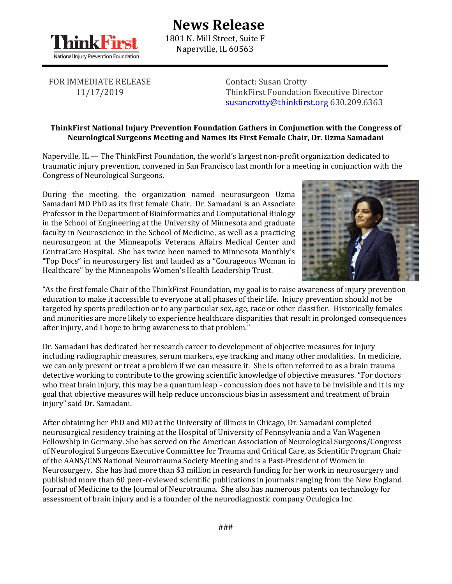

## **News Release** 1801 N. Mill Street, Suite F Naperville, IL 60563

FOR IMMEDIATE RELEASE 11/17/2019

Contact: Susan Crotty ThinkFirst Foundation Executive Director [susancrotty@thinkfirst.org](mailto:susancrotty@thinkfirst.org) 630.209.6363

## **ThinkFirst National Injury Prevention Foundation Gathers in Conjunction with the Congress of Neurological Surgeons Meeting and Names Its First Female Chair, Dr. Uzma Samadani**

Naperville, IL — The ThinkFirst Foundation, the world's largest non-profit organization dedicated to traumatic injury prevention, convened in San Francisco last month for a meeting in conjunction with the Congress of Neurological Surgeons.

During the meeting, the organization named neurosurgeon Uzma Samadani MD PhD as its first female Chair. Dr. Samadani is an Associate Professor in the Department of Bioinformatics and Computational Biology in the School of Engineering at the University of Minnesota and graduate faculty in Neuroscience in the School of Medicine, as well as a practicing neurosurgeon at the Minneapolis Veterans Affairs Medical Center and CentraCare Hospital. She has twice been named to Minnesota Monthly's "Top Docs" in neurosurgery list and lauded as a "Courageous Woman in Healthcare" by the Minneapolis Women's Health Leadership Trust.



"As the first female Chair of the ThinkFirst Foundation, my goal is to raise awareness of injury prevention education to make it accessible to everyone at all phases of their life. Injury prevention should not be targeted by sports predilection or to any particular sex, age, race or other classifier. Historically females and minorities are more likely to experience healthcare disparities that result in prolonged consequences after injury, and I hope to bring awareness to that problem."

Dr. Samadani has dedicated her research career to development of objective measures for injury including radiographic measures, serum markers, eye tracking and many other modalities. In medicine, we can only prevent or treat a problem if we can measure it. She is often referred to as a brain trauma detective working to contribute to the growing scientific knowledge of objective measures. "For doctors who treat brain injury, this may be a quantum leap - concussion does not have to be invisible and it is my goal that objective measures will help reduce unconscious bias in assessment and treatment of brain injury" said Dr. Samadani.

After obtaining her PhD and MD at the University of Illinois in Chicago, Dr. Samadani completed neurosurgical residency training at the Hospital of University of Pennsylvania and a Van Wagenen Fellowship in Germany. She has served on the American Association of Neurological Surgeons/Congress of Neurological Surgeons Executive Committee for Trauma and Critical Care, as Scientific Program Chair of the AANS/CNS National Neurotrauma Society Meeting and is a Past-President of Women in Neurosurgery. She has had more than \$3 million in research funding for her work in neurosurgery and published more than 60 peer-reviewed scientific publications in journals ranging from the New England Journal of Medicine to the Journal of Neurotrauma. She also has numerous patents on technology for assessment of brain injury and is a founder of the neurodiagnostic company Oculogica Inc.